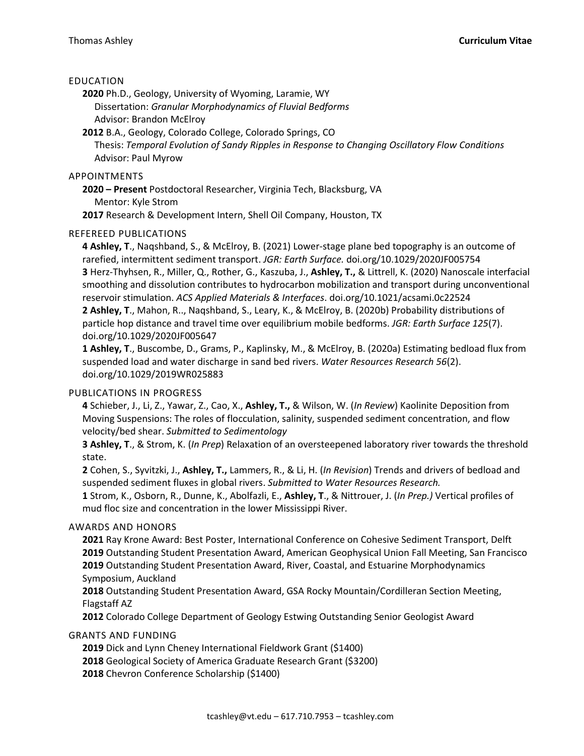### EDUCATION

**2020** Ph.D., Geology, University of Wyoming, Laramie, WY Dissertation: *Granular Morphodynamics of Fluvial Bedforms* Advisor: Brandon McElroy

**2012** B.A., Geology, Colorado College, Colorado Springs, CO Thesis: *Temporal Evolution of Sandy Ripples in Response to Changing Oscillatory Flow Conditions* Advisor: Paul Myrow

### APPOINTMENTS

**2020 – Present** Postdoctoral Researcher, Virginia Tech, Blacksburg, VA Mentor: Kyle Strom

**2017** Research & Development Intern, Shell Oil Company, Houston, TX

## REFEREED PUBLICATIONS

**4 Ashley, T**., Naqshband, S., & McElroy, B. (2021) Lower-stage plane bed topography is an outcome of rarefied, intermittent sediment transport. *JGR: Earth Surface.* doi.org/10.1029/2020JF005754 **3** Herz-Thyhsen, R., Miller, Q., Rother, G., Kaszuba, J., **Ashley, T.,** & Littrell, K. (2020) Nanoscale interfacial smoothing and dissolution contributes to hydrocarbon mobilization and transport during unconventional reservoir stimulation. *ACS Applied Materials & Interfaces*. doi.org/10.1021/acsami.0c22524

**2 Ashley, T**., Mahon, R.., Naqshband, S., Leary, K., & McElroy, B. (2020b) Probability distributions of particle hop distance and travel time over equilibrium mobile bedforms. *JGR: Earth Surface 125*(7). doi.org/10.1029/2020JF005647

**1 Ashley, T**., Buscombe, D., Grams, P., Kaplinsky, M., & McElroy, B. (2020a) Estimating bedload flux from suspended load and water discharge in sand bed rivers. *Water Resources Research 56*(2). doi.org/10.1029/2019WR025883

# PUBLICATIONS IN PROGRESS

**4** Schieber, J., Li, Z., Yawar, Z., Cao, X., **Ashley, T.,** & Wilson, W. (*In Review*) Kaolinite Deposition from Moving Suspensions: The roles of flocculation, salinity, suspended sediment concentration, and flow velocity/bed shear. *Submitted to Sedimentology*

**3 Ashley, T**., & Strom, K. (*In Prep*) Relaxation of an oversteepened laboratory river towards the threshold state.

**2** Cohen, S., Syvitzki, J., **Ashley, T.,** Lammers, R., & Li, H. (*In Revision*) Trends and drivers of bedload and suspended sediment fluxes in global rivers. *Submitted to Water Resources Research.*

**1** Strom, K., Osborn, R., Dunne, K., Abolfazli, E., **Ashley, T**., & Nittrouer, J. (*In Prep.)* Vertical profiles of mud floc size and concentration in the lower Mississippi River.

### AWARDS AND HONORS

 Ray Krone Award: Best Poster, International Conference on Cohesive Sediment Transport, Delft Outstanding Student Presentation Award, American Geophysical Union Fall Meeting, San Francisco Outstanding Student Presentation Award, River, Coastal, and Estuarine Morphodynamics Symposium, Auckland

**2018** Outstanding Student Presentation Award, GSA Rocky Mountain/Cordilleran Section Meeting, Flagstaff AZ

**2012** Colorado College Department of Geology Estwing Outstanding Senior Geologist Award

# GRANTS AND FUNDING

**2019** Dick and Lynn Cheney International Fieldwork Grant (\$1400)

**2018** Geological Society of America Graduate Research Grant (\$3200)

**2018** Chevron Conference Scholarship (\$1400)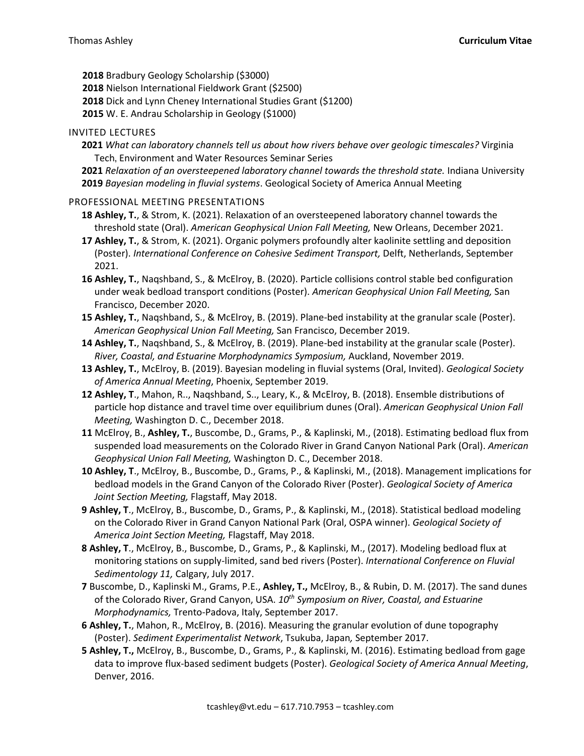**2018** Bradbury Geology Scholarship (\$3000)

**2018** Nielson International Fieldwork Grant (\$2500)

**2018** Dick and Lynn Cheney International Studies Grant (\$1200)

**2015** W. E. Andrau Scholarship in Geology (\$1000)

### INVITED LECTURES

- **2021** *What can laboratory channels tell us about how rivers behave over geologic timescales?* Virginia Tech**,** Environment and Water Resources Seminar Series
- **2021** *Relaxation of an oversteepened laboratory channel towards the threshold state.* Indiana University **2019** *Bayesian modeling in fluvial systems*. Geological Society of America Annual Meeting

## PROFESSIONAL MEETING PRESENTATIONS

- **18 Ashley, T.**, & Strom, K. (2021). Relaxation of an oversteepened laboratory channel towards the threshold state (Oral). *American Geophysical Union Fall Meeting,* New Orleans, December 2021.
- **17 Ashley, T.**, & Strom, K. (2021). Organic polymers profoundly alter kaolinite settling and deposition (Poster). *International Conference on Cohesive Sediment Transport,* Delft, Netherlands, September 2021.
- **16 Ashley, T.**, Naqshband, S., & McElroy, B. (2020). Particle collisions control stable bed configuration under weak bedload transport conditions (Poster). *American Geophysical Union Fall Meeting,* San Francisco, December 2020.
- **15 Ashley, T.**, Naqshband, S., & McElroy, B. (2019). Plane-bed instability at the granular scale (Poster). *American Geophysical Union Fall Meeting,* San Francisco, December 2019.
- **14 Ashley, T.**, Naqshband, S., & McElroy, B. (2019). Plane-bed instability at the granular scale (Poster). *River, Coastal, and Estuarine Morphodynamics Symposium,* Auckland, November 2019.
- **13 Ashley, T.**, McElroy, B. (2019). Bayesian modeling in fluvial systems (Oral, Invited). *Geological Society of America Annual Meeting*, Phoenix, September 2019.
- **12 Ashley, T**., Mahon, R.., Naqshband, S.., Leary, K., & McElroy, B. (2018). Ensemble distributions of particle hop distance and travel time over equilibrium dunes (Oral). *American Geophysical Union Fall Meeting,* Washington D. C., December 2018.
- **11** McElroy, B., **Ashley, T.**, Buscombe, D., Grams, P., & Kaplinski, M., (2018). Estimating bedload flux from suspended load measurements on the Colorado River in Grand Canyon National Park (Oral). *American Geophysical Union Fall Meeting,* Washington D. C., December 2018.
- **10 Ashley, T**., McElroy, B., Buscombe, D., Grams, P., & Kaplinski, M., (2018). Management implications for bedload models in the Grand Canyon of the Colorado River (Poster). *Geological Society of America Joint Section Meeting,* Flagstaff, May 2018.
- **9 Ashley, T**., McElroy, B., Buscombe, D., Grams, P., & Kaplinski, M., (2018). Statistical bedload modeling on the Colorado River in Grand Canyon National Park (Oral, OSPA winner). *Geological Society of America Joint Section Meeting,* Flagstaff, May 2018.
- **8 Ashley, T**., McElroy, B., Buscombe, D., Grams, P., & Kaplinski, M., (2017). Modeling bedload flux at monitoring stations on supply-limited, sand bed rivers (Poster). *International Conference on Fluvial Sedimentology 11,* Calgary, July 2017.
- **7** Buscombe, D., Kaplinski M., Grams, P.E., **Ashley, T.,** McElroy, B., & Rubin, D. M. (2017). The sand dunes of the Colorado River, Grand Canyon, USA. *10th Symposium on River, Coastal, and Estuarine Morphodynamics,* Trento-Padova, Italy, September 2017.
- **6 Ashley, T.**, Mahon, R., McElroy, B. (2016). Measuring the granular evolution of dune topography (Poster). *Sediment Experimentalist Network*, Tsukuba, Japan*,* September 2017.
- **5 Ashley, T.,** McElroy, B., Buscombe, D., Grams, P., & Kaplinski, M. (2016). Estimating bedload from gage data to improve flux-based sediment budgets (Poster). *Geological Society of America Annual Meeting*, Denver, 2016.